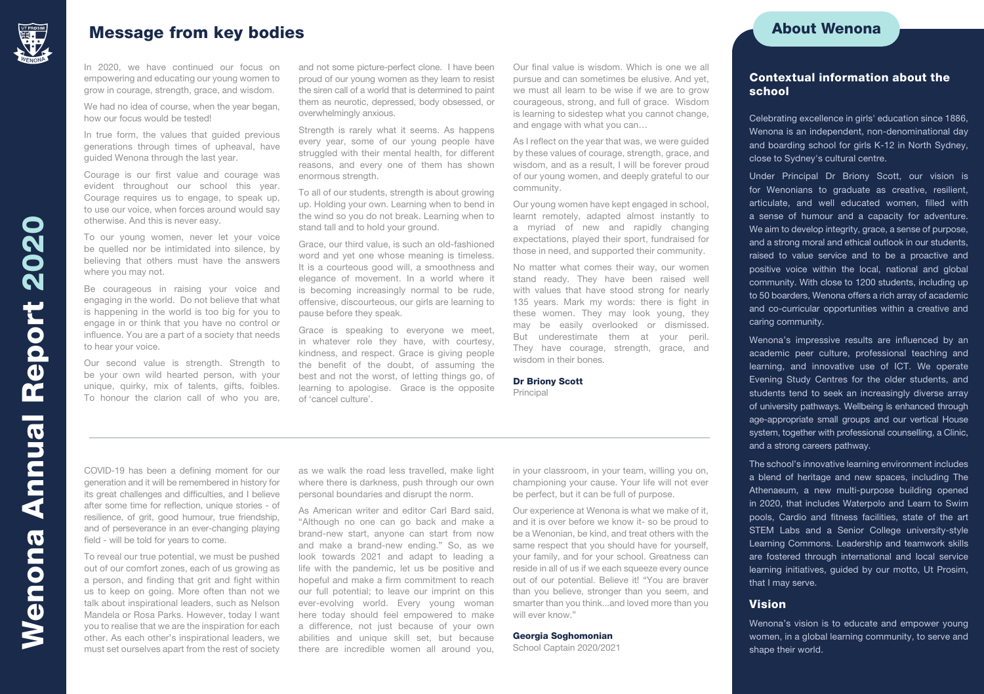

# Message from key bodies About Wenona About Wenona About Wenona

In 2020, we have continued our focus on empowering and educating our young women to grow in courage, strength, grace, and wisdom.

We had no idea of course, when the year began, how our focus would be tested!

In true form, the values that guided previous generations through times of upheaval, have guided Wenona through the last year.

Courage is our first value and courage was evident throughout our school this year. Courage requires us to engage, to speak up, to use our voice, when forces around would say otherwise. And this is never easy.

To our young women, never let your voice be quelled nor be intimidated into silence, by believing that others must have the answers where you may not.

Be courageous in raising your voice and engaging in the world. Do not believe that what is happening in the world is too big for you to engage in or think that you have no control or influence. You are a part of a society that needs to hear your voice.

Our second value is strength. Strength to be your own wild hearted person, with your unique, quirky, mix of talents, gifts, foibles. To honour the clarion call of who you are, and not some picture-perfect clone. I have been proud of our young women as they learn to resist the siren call of a world that is determined to paint them as neurotic, depressed, body obsessed, or overwhelmingly anxious.

Strength is rarely what it seems. As happens every year, some of our young people have struggled with their mental health, for different reasons, and every one of them has shown enormous strength.

To all of our students, strength is about growing up. Holding your own. Learning when to bend in the wind so you do not break. Learning when to stand tall and to hold your ground.

Grace, our third value, is such an old-fashioned word and yet one whose meaning is timeless. It is a courteous good will, a smoothness and elegance of movement. In a world where it is becoming increasingly normal to be rude, offensive, discourteous, our girls are learning to pause before they speak.

Grace is speaking to everyone we meet, in whatever role they have, with courtesy, kindness, and respect. Grace is giving people the benefit of the doubt, of assuming the best and not the worst, of letting things go, of learning to apologise. Grace is the opposite of 'cancel culture'.

Our final value is wisdom. Which is one we all pursue and can sometimes be elusive. And yet, we must all learn to be wise if we are to grow courageous, strong, and full of grace. Wisdom is learning to sidestep what you cannot change, and engage with what you can…

As I reflect on the year that was, we were guided by these values of courage, strength, grace, and wisdom, and as a result, I will be forever proud of our young women, and deeply grateful to our community.

Our young women have kept engaged in school, learnt remotely, adapted almost instantly to a myriad of new and rapidly changing expectations, played their sport, fundraised for those in need, and supported their community.

No matter what comes their way, our women stand ready. They have been raised well with values that have stood strong for nearly 135 years. Mark my words: there is fight in these women. They may look young, they may be easily overlooked or dismissed. But underestimate them at your peril. They have courage, strength, grace, and wisdom in their bones.

Dr Briony Scott Principal

COVID-19 has been a defining moment for our generation and it will be remembered in history for its great challenges and difficulties, and I believe after some time for reflection, unique stories - of resilience, of grit, good humour, true friendship, and of perseverance in an ever-changing playing field - will be told for years to come.

To reveal our true potential, we must be pushed out of our comfort zones, each of us growing as a person, and finding that grit and fight within us to keep on going. More often than not we talk about inspirational leaders, such as Nelson Mandela or Rosa Parks. However, today I want you to realise that we are the inspiration for each other. As each other's inspirational leaders, we must set ourselves apart from the rest of society as we walk the road less travelled, make light where there is darkness, push through our own personal boundaries and disrupt the norm.

As American writer and editor Carl Bard said, "Although no one can go back and make a brand-new start, anyone can start from now and make a brand-new ending." So, as we look towards 2021 and adapt to leading a life with the pandemic, let us be positive and hopeful and make a firm commitment to reach our full potential; to leave our imprint on this ever-evolving world. Every young woman here today should feel empowered to make a difference, not just because of your own abilities and unique skill set, but because there are incredible women all around you,

in your classroom, in your team, willing you on, championing your cause. Your life will not ever be perfect, but it can be full of purpose.

Our experience at Wenona is what we make of it, and it is over before we know it- so be proud to be a Wenonian, be kind, and treat others with the same respect that you should have for yourself, your family, and for your school. Greatness can reside in all of us if we each squeeze every ounce out of our potential. Believe it! "You are braver than you believe, stronger than you seem, and smarter than you think...and loved more than you will ever know."

#### Georgia Soghomonian

School Captain 2020/2021

## Contextual information about the school

Celebrating excellence in girls' education since 1886, Wenona is an independent, non-denominational day and boarding school for girls K-12 in North Sydney, close to Sydney's cultural centre.

Under Principal Dr Briony Scott, our vision is for Wenonians to graduate as creative, resilient, articulate, and well educated women, filled with a sense of humour and a capacity for adventure. We aim to develop integrity, grace, a sense of purpose, and a strong moral and ethical outlook in our students, raised to value service and to be a proactive and positive voice within the local, national and global community. With close to 1200 students, including up to 50 boarders, Wenona offers a rich array of academic and co-curricular opportunities within a creative and caring community.

Wenona's impressive results are influenced by an academic peer culture, professional teaching and learning, and innovative use of ICT. We operate Evening Study Centres for the older students, and students tend to seek an increasingly diverse array of university pathways. Wellbeing is enhanced through age-appropriate small groups and our vertical House system, together with professional counselling, a Clinic, and a strong careers pathway.

The school's innovative learning environment includes a blend of heritage and new spaces, including The Athenaeum, a new multi-purpose building opened in 2020, that includes Waterpolo and Learn to Swim pools, Cardio and fitness facilities, state of the art STEM Labs and a Senior College university-style Learning Commons. Leadership and teamwork skills are fostered through international and local service learning initiatives, guided by our motto, Ut Prosim, that I may serve.

## Vision

Wenona's vision is to educate and empower young women, in a global learning community, to serve and shape their world.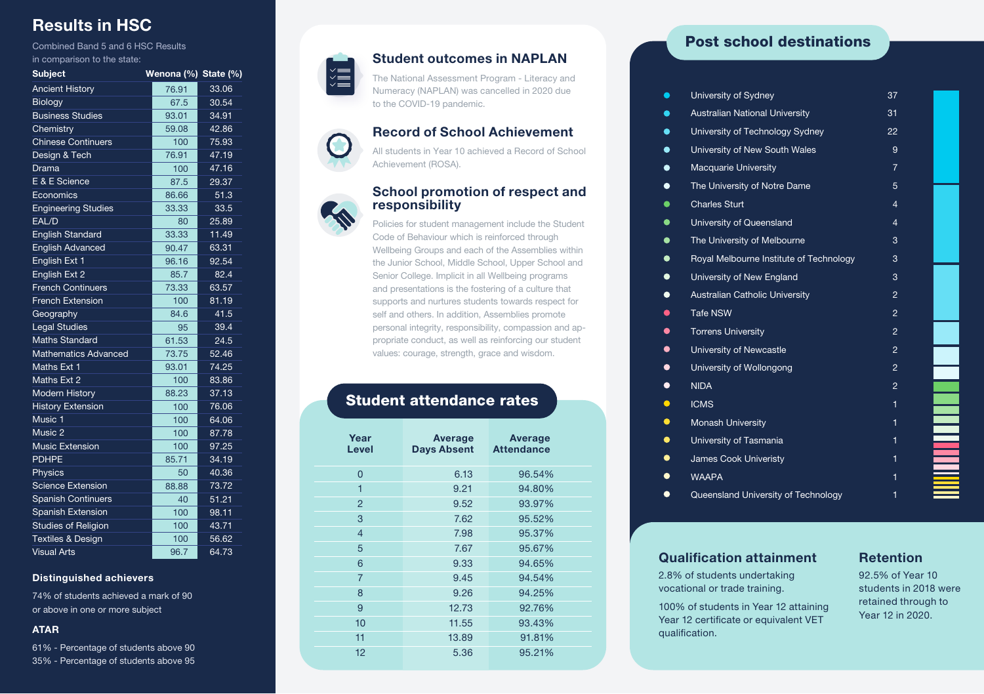# Results in HSC

Combined Band 5 and 6 HSC Results in comparison to the state:

| <b>Subject</b>               | Wenona (%) State (%) |       |
|------------------------------|----------------------|-------|
| <b>Ancient History</b>       | 76.91                | 33.06 |
| Biology                      | 67.5                 | 30.54 |
| <b>Business Studies</b>      | 93.01                | 34.91 |
| Chemistry                    | 59.08                | 42.86 |
| <b>Chinese Continuers</b>    | 100                  | 75.93 |
| Design & Tech                | 76.91                | 47.19 |
| Drama                        | 100                  | 47.16 |
| E & E Science                | 87.5                 | 29.37 |
| Economics                    | 86.66                | 51.3  |
| <b>Engineering Studies</b>   | 33.33                | 33.5  |
| EAL/D                        | 80                   | 25.89 |
| <b>English Standard</b>      | 33.33                | 11.49 |
| <b>English Advanced</b>      | 90.47                | 63.31 |
| English Ext 1                | 96.16                | 92.54 |
| English Ext 2                | 85.7                 | 82.4  |
| <b>French Continuers</b>     | 73.33                | 63.57 |
| <b>French Extension</b>      | 100                  | 81.19 |
| Geography                    | 84.6                 | 41.5  |
| <b>Legal Studies</b>         | 95                   | 39.4  |
| <b>Maths Standard</b>        | 61.53                | 24.5  |
| <b>Mathematics Advanced</b>  | 73.75                | 52.46 |
| Maths Ext 1                  | 93.01                | 74.25 |
| Maths Ext 2                  | 100                  | 83.86 |
| <b>Modern History</b>        | 88.23                | 37.13 |
| <b>History Extension</b>     | 100                  | 76.06 |
| Music 1                      | 100                  | 64.06 |
| Music 2                      | 100                  | 87.78 |
| <b>Music Extension</b>       | 100                  | 97.25 |
| <b>PDHPE</b>                 | 85.71                | 34.19 |
| <b>Physics</b>               | 50                   | 40.36 |
| <b>Science Extension</b>     | 88.88                | 73.72 |
| <b>Spanish Continuers</b>    | 40                   | 51.21 |
| <b>Spanish Extension</b>     | 100                  | 98.11 |
| <b>Studies of Religion</b>   | 100                  | 43.71 |
| <b>Textiles &amp; Design</b> | 100                  | 56.62 |
| <b>Visual Arts</b>           | 96.7                 | 64.73 |

#### Distinguished achievers

74% of students achieved a mark of 90 or above in one or more subject

## ATAR

61% - Percentage of students above 90 35% - Percentage of students above 95



# Student outcomes in NAPLAN

The National Assessment Program - Literacy and Numeracy (NAPLAN) was cancelled in 2020 due to the COVID-19 pandemic.

## Record of School Achievement

All students in Year 10 achieved a Record of School Achievement (ROSA).

## School promotion of respect and responsibility

Policies for student management include the Student Code of Behaviour which is reinforced through Wellbeing Groups and each of the Assemblies within the Junior School, Middle School, Upper School and Senior College. Implicit in all Wellbeing programs and presentations is the fostering of a culture that supports and nurtures students towards respect for self and others. In addition, Assemblies promote personal integrity, responsibility, compassion and appropriate conduct, as well as reinforcing our student values: courage, strength, grace and wisdom.

# Student attendance rates

| Year<br>Level  | Average<br><b>Days Absent</b> | Average<br><b>Attendance</b> |
|----------------|-------------------------------|------------------------------|
| $\overline{0}$ | 6.13                          | 96.54%                       |
| 1              | 9.21                          | 94.80%                       |
| $\overline{2}$ | 9.52                          | 93.97%                       |
| 3              | 7.62                          | 95.52%                       |
| $\overline{4}$ | 7.98                          | 95.37%                       |
| 5              | 7.67                          | 95.67%                       |
| 6              | 9.33                          | 94.65%                       |
| $\overline{7}$ | 9.45                          | 94.54%                       |
| 8              | 9.26                          | 94.25%                       |
| 9              | 12.73                         | 92.76%                       |
| 10             | 11.55                         | 93.43%                       |
| 11             | 13.89                         | 91.81%                       |
| 12             | 5.36                          | 95.21%                       |

# Post school destinations

| University of Sydney                     |                                         | 37                      |  |
|------------------------------------------|-----------------------------------------|-------------------------|--|
| $\bullet$                                | <b>Australian National University</b>   | 31                      |  |
| $\bullet$                                | University of Technology Sydney         | 22                      |  |
| $\bullet$                                | University of New South Wales           | 9                       |  |
| <b>Macquarie University</b><br>$\bullet$ |                                         | $\overline{7}$          |  |
| $\bullet$                                | The University of Notre Dame            | 5                       |  |
| <b>Charles Sturt</b><br>$\bullet$        |                                         | $\overline{\mathbf{4}}$ |  |
| $\bullet$<br>University of Queensland    |                                         | 4                       |  |
| $\bullet$                                | The University of Melbourne             | 3                       |  |
| $\bullet$                                | Royal Melbourne Institute of Technology | 3                       |  |
| $\bullet$                                | University of New England               | 3                       |  |
| $\bullet$                                | <b>Australian Catholic University</b>   | $\overline{2}$          |  |
| <b>Tafe NSW</b><br>$\bullet$             |                                         | $\mathfrak{p}$          |  |
| $\bullet$<br><b>Torrens University</b>   |                                         | $\overline{2}$          |  |
| $\bullet$<br>University of Newcastle     |                                         | $\overline{2}$          |  |
| University of Wollongong<br>$\bullet$    |                                         | $\overline{2}$          |  |
| $\bullet$<br><b>NIDA</b>                 |                                         | $\mathfrak{p}$          |  |
| $\bullet$<br><b>ICMS</b>                 |                                         | 1                       |  |
| $\bullet$<br><b>Monash University</b>    |                                         | 1                       |  |
| $\bullet$<br>University of Tasmania      |                                         | 1                       |  |
| $\bullet$<br>James Cook Univeristy       |                                         | 1                       |  |
| $\bullet$<br><b>WAAPA</b>                |                                         | 1                       |  |
|                                          | Queensland University of Technology     | 1                       |  |

## Qualification attainment

2.8% of students undertaking vocational or trade training.

100% of students in Year 12 attaining Year 12 certificate or equivalent VET qualification.

# Retention

92.5% of Year 10 students in 2018 were retained through to Year 12 in 2020.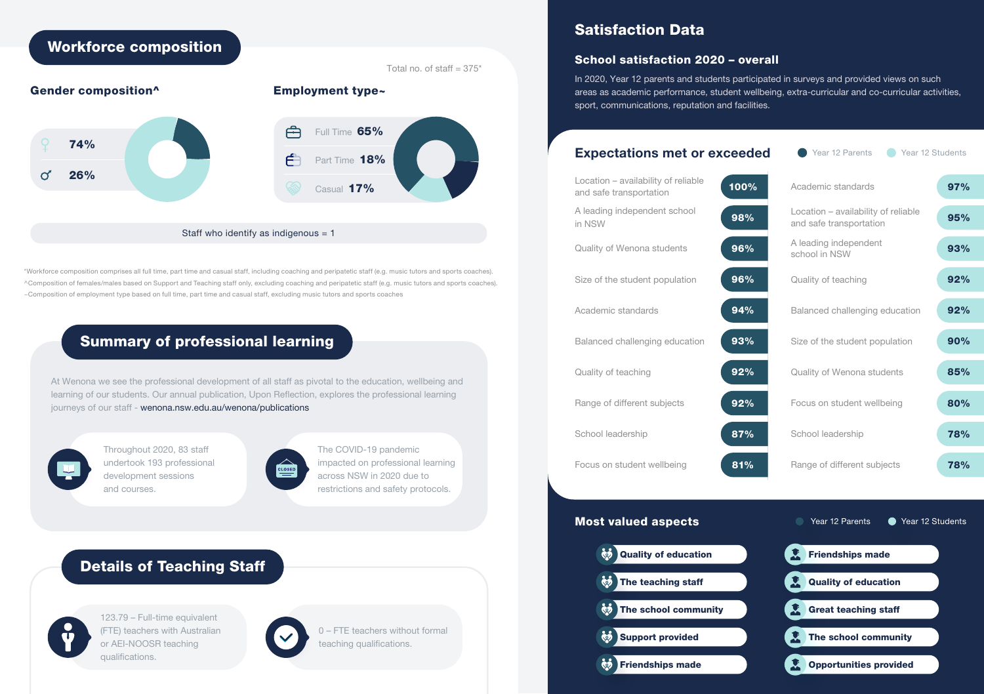

\*Workforce composition comprises all full time, part time and casual staff, including coaching and peripatetic staff (e.g. music tutors and sports coaches). ^Composition of females/males based on Support and Teaching staff only, excluding coaching and peripatetic staff (e.g. music tutors and sports coaches). ~Composition of employment type based on full time, part time and casual staff, excluding music tutors and sports coaches

# Summary of professional learning

At Wenona we see the professional development of all staff as pivotal to the education, wellbeing and learning of our students. Our annual publication, Upon Reflection, explores the professional learning journeys of our staff - wenona.nsw.edu.au/wenona/publications



Throughout 2020, 83 staff undertook 193 professional development sessions and courses.



The COVID-19 pandemic impacted on professional learning across NSW in 2020 due to restrictions and safety protocols.

# Details of Teaching Staff



123.79 – Full-time equivalent (FTE) teachers with Australian or AEI-NOOSR teaching qualifications.

0 – FTE teachers without formal teaching qualifications.

# Satisfaction Data

## School satisfaction 2020 – overall

In 2020, Year 12 parents and students participated in surveys and provided views on such areas as academic performance, student wellbeing, extra-curricular and co-curricular activities, sport, communications, reputation and facilities.

## Expectations met or exceeded

## Year 12 Parents **Comparent Prear 12 Students**

| Location - availability of reliable<br>and safe transportation | 100% | Academic standards                                             | 97%        |
|----------------------------------------------------------------|------|----------------------------------------------------------------|------------|
| A leading independent school<br>in NSW                         | 98%  | Location - availability of reliable<br>and safe transportation | 95%        |
| Quality of Wenona students                                     | 96%  | A leading independent<br>school in NSW                         | 93%        |
| Size of the student population                                 | 96%  | Quality of teaching                                            | 92%        |
| Academic standards                                             | 94%  | Balanced challenging education                                 | 92%        |
| Balanced challenging education                                 | 93%  | Size of the student population                                 | 90%        |
| Quality of teaching                                            | 92%  | Quality of Wenona students                                     | 85%        |
| Range of different subjects                                    | 92%  | Focus on student wellbeing                                     | 80%        |
| School leadership                                              | 87%  | School leadership                                              | <b>78%</b> |
| Focus on student wellbeing                                     | 81%  | Range of different subjects                                    | <b>78%</b> |

# Most valued aspects



# ■ Year 12 Parents ● Year 12 Students

| <b>Friendships made</b>       |  |
|-------------------------------|--|
| <b>Quality of education</b>   |  |
| <b>Great teaching staff</b>   |  |
| The school community          |  |
| <b>Opportunities provided</b> |  |